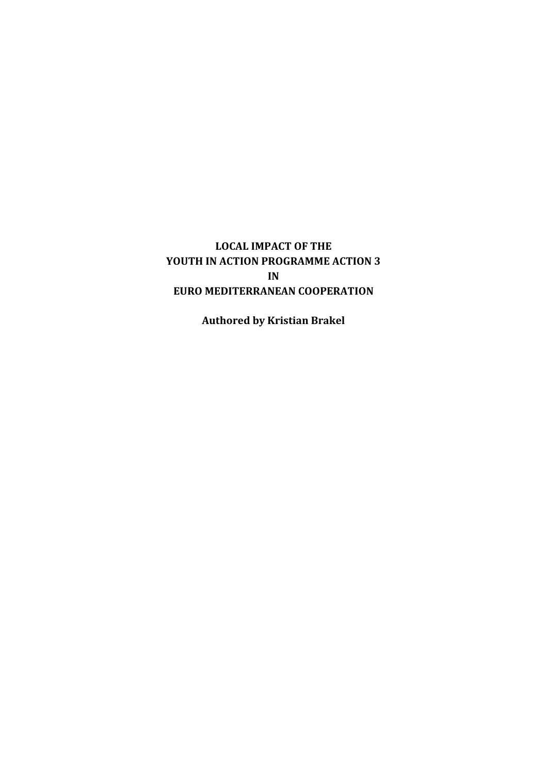## **LOCAL IMPACT OF THE YOUTH IN ACTION PROGRAMME ACTION 3 IN EURO MEDITERRANEAN COOPERATION**

**Authored by Kristian Brakel**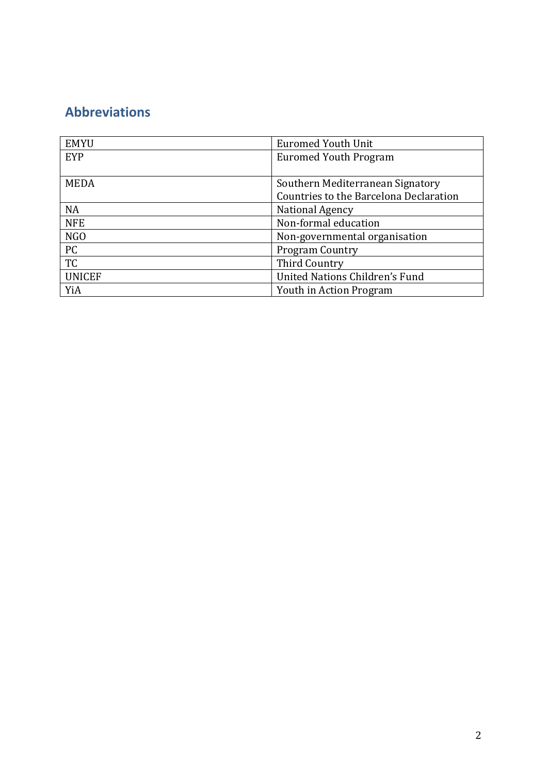# **Abbreviations**

| <b>EMYU</b>      | <b>Euromed Youth Unit</b>              |  |
|------------------|----------------------------------------|--|
| EYP              | <b>Euromed Youth Program</b>           |  |
|                  |                                        |  |
| <b>MEDA</b>      | Southern Mediterranean Signatory       |  |
|                  | Countries to the Barcelona Declaration |  |
| <b>NA</b>        | National Agency                        |  |
| <b>NFE</b>       | Non-formal education                   |  |
| N <sub>G</sub> O | Non-governmental organisation          |  |
| PC               | <b>Program Country</b>                 |  |
| <b>TC</b>        | <b>Third Country</b>                   |  |
| <b>UNICEF</b>    | United Nations Children's Fund         |  |
| YiA              | Youth in Action Program                |  |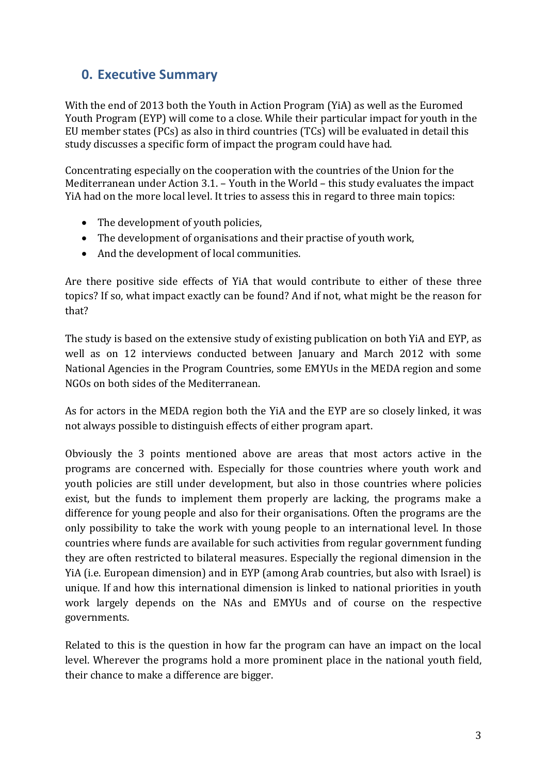# **0. Executive Summary**

With the end of 2013 both the Youth in Action Program (YiA) as well as the Euromed Youth Program (EYP) will come to a close. While their particular impact for youth in the EU member states (PCs) as also in third countries (TCs) will be evaluated in detail this study discusses a specific form of impact the program could have had.

Concentrating especially on the cooperation with the countries of the Union for the Mediterranean under Action 3.1. – Youth in the World – this study evaluates the impact YiA had on the more local level. It tries to assess this in regard to three main topics:

- The development of youth policies,
- The development of organisations and their practise of youth work,
- And the development of local communities.

Are there positive side effects of YiA that would contribute to either of these three topics? If so, what impact exactly can be found? And if not, what might be the reason for that?

The study is based on the extensive study of existing publication on both YiA and EYP, as well as on 12 interviews conducted between January and March 2012 with some National Agencies in the Program Countries, some EMYUs in the MEDA region and some NGOs on both sides of the Mediterranean.

As for actors in the MEDA region both the YiA and the EYP are so closely linked, it was not always possible to distinguish effects of either program apart.

Obviously the 3 points mentioned above are areas that most actors active in the programs are concerned with. Especially for those countries where youth work and youth policies are still under development, but also in those countries where policies exist, but the funds to implement them properly are lacking, the programs make a difference for young people and also for their organisations. Often the programs are the only possibility to take the work with young people to an international level. In those countries where funds are available for such activities from regular government funding they are often restricted to bilateral measures. Especially the regional dimension in the YiA (i.e. European dimension) and in EYP (among Arab countries, but also with Israel) is unique. If and how this international dimension is linked to national priorities in youth work largely depends on the NAs and EMYUs and of course on the respective governments.

Related to this is the question in how far the program can have an impact on the local level. Wherever the programs hold a more prominent place in the national youth field, their chance to make a difference are bigger.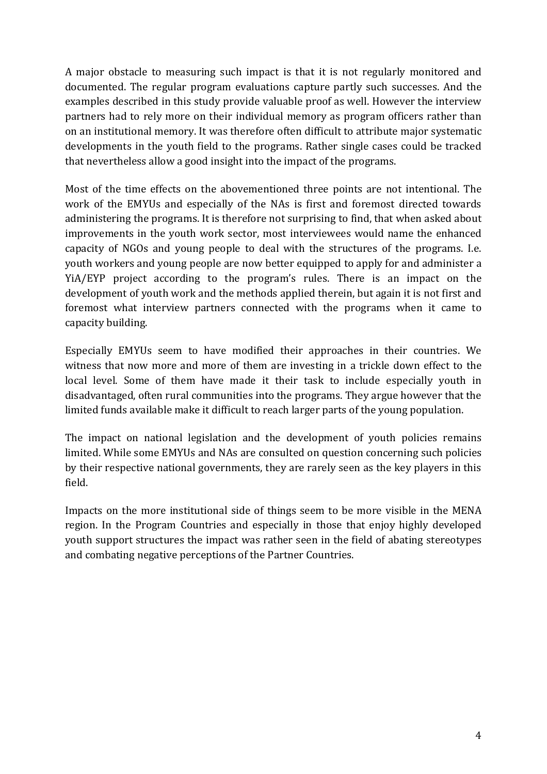A major obstacle to measuring such impact is that it is not regularly monitored and documented. The regular program evaluations capture partly such successes. And the examples described in this study provide valuable proof as well. However the interview partners had to rely more on their individual memory as program officers rather than on an institutional memory. It was therefore often difficult to attribute major systematic developments in the youth field to the programs. Rather single cases could be tracked that nevertheless allow a good insight into the impact of the programs.

Most of the time effects on the abovementioned three points are not intentional. The work of the EMYUs and especially of the NAs is first and foremost directed towards administering the programs. It is therefore not surprising to find, that when asked about improvements in the youth work sector, most interviewees would name the enhanced capacity of NGOs and young people to deal with the structures of the programs. I.e. youth workers and young people are now better equipped to apply for and administer a YiA/EYP project according to the program's rules. There is an impact on the development of youth work and the methods applied therein, but again it is not first and foremost what interview partners connected with the programs when it came to capacity building.

Especially EMYUs seem to have modified their approaches in their countries. We witness that now more and more of them are investing in a trickle down effect to the local level. Some of them have made it their task to include especially youth in disadvantaged, often rural communities into the programs. They argue however that the limited funds available make it difficult to reach larger parts of the young population.

The impact on national legislation and the development of youth policies remains limited. While some EMYUs and NAs are consulted on question concerning such policies by their respective national governments, they are rarely seen as the key players in this field.

Impacts on the more institutional side of things seem to be more visible in the MENA region. In the Program Countries and especially in those that enjoy highly developed youth support structures the impact was rather seen in the field of abating stereotypes and combating negative perceptions of the Partner Countries.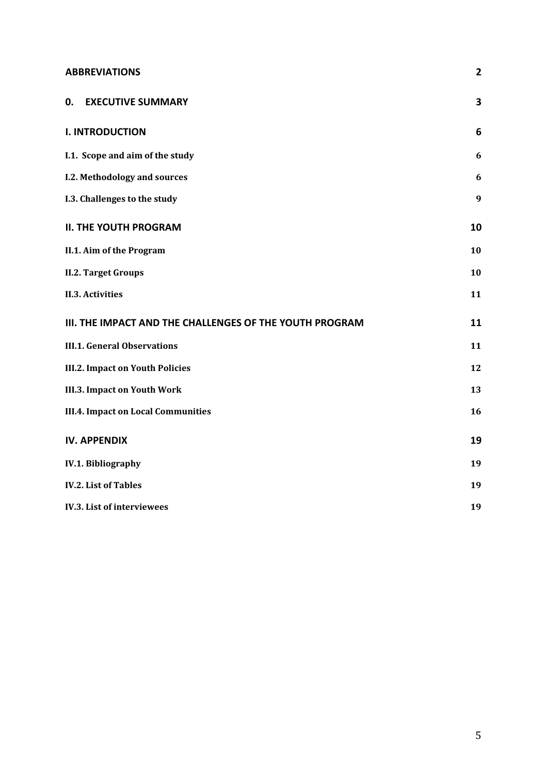## **ABBREVIATIONS 2**

| <b>0. EXECUTIVE SUMMARY</b>                             | 3                |
|---------------------------------------------------------|------------------|
| <b>I. INTRODUCTION</b>                                  | 6                |
| I.1. Scope and aim of the study                         | 6                |
| I.2. Methodology and sources                            | $\boldsymbol{6}$ |
| I.3. Challenges to the study                            | $\boldsymbol{9}$ |
| <b>II. THE YOUTH PROGRAM</b>                            | 10               |
| II.1. Aim of the Program                                | 10               |
| <b>II.2. Target Groups</b>                              | 10               |
| <b>II.3. Activities</b>                                 | 11               |
| III. THE IMPACT AND THE CHALLENGES OF THE YOUTH PROGRAM | 11               |
| <b>III.1. General Observations</b>                      | 11               |
| <b>III.2. Impact on Youth Policies</b>                  | 12               |
| <b>III.3. Impact on Youth Work</b>                      | 13               |
| <b>III.4. Impact on Local Communities</b>               | 16               |
| <b>IV. APPENDIX</b>                                     | 19               |
| <b>IV.1. Bibliography</b>                               | 19               |
| <b>IV.2. List of Tables</b>                             | 19               |
| <b>IV.3. List of interviewees</b>                       | 19               |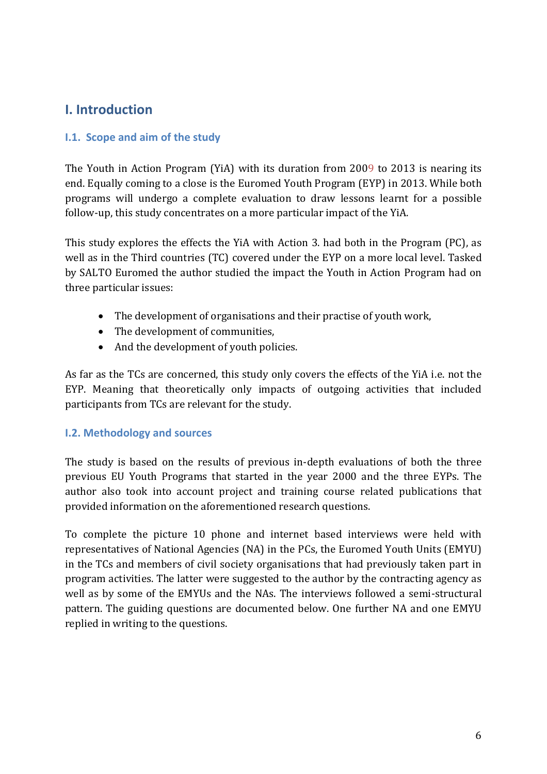## **I. Introduction**

## **I.1. Scope and aim of the study**

The Youth in Action Program (YiA) with its duration from 2009 to 2013 is nearing its end. Equally coming to a close is the Euromed Youth Program (EYP) in 2013. While both programs will undergo a complete evaluation to draw lessons learnt for a possible follow-up, this study concentrates on a more particular impact of the YiA.

This study explores the effects the YiA with Action 3. had both in the Program (PC), as well as in the Third countries (TC) covered under the EYP on a more local level. Tasked by SALTO Euromed the author studied the impact the Youth in Action Program had on three particular issues:

- The development of organisations and their practise of youth work,
- The development of communities,
- And the development of youth policies.

As far as the TCs are concerned, this study only covers the effects of the YiA i.e. not the EYP. Meaning that theoretically only impacts of outgoing activities that included participants from TCs are relevant for the study.

## **I.2. Methodology and sources**

The study is based on the results of previous in-depth evaluations of both the three previous EU Youth Programs that started in the year 2000 and the three EYPs. The author also took into account project and training course related publications that provided information on the aforementioned research questions.

To complete the picture 10 phone and internet based interviews were held with representatives of National Agencies (NA) in the PCs, the Euromed Youth Units (EMYU) in the TCs and members of civil society organisations that had previously taken part in program activities. The latter were suggested to the author by the contracting agency as well as by some of the EMYUs and the NAs. The interviews followed a semi-structural pattern. The guiding questions are documented below. One further NA and one EMYU replied in writing to the questions.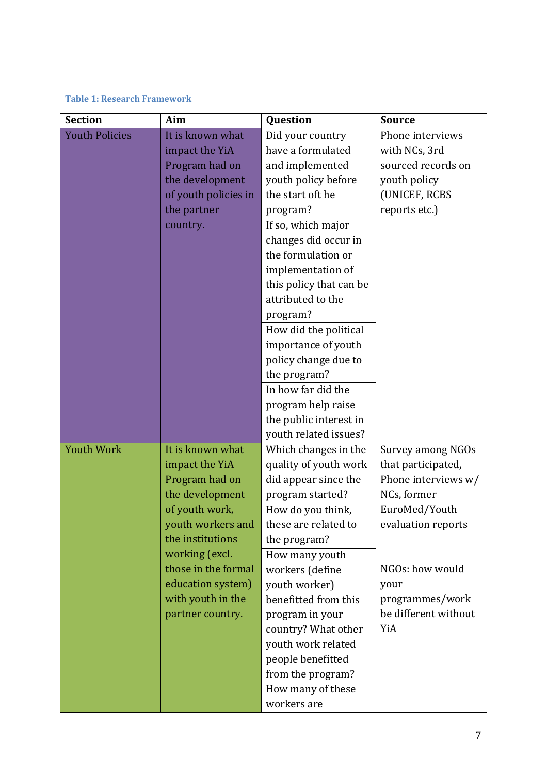#### **Table 1: Research Framework**

| <b>Section</b>        | Aim                                    | Question                                  | <b>Source</b>                           |
|-----------------------|----------------------------------------|-------------------------------------------|-----------------------------------------|
| <b>Youth Policies</b> | It is known what                       | Did your country                          | Phone interviews                        |
|                       | impact the YiA                         | have a formulated                         | with NCs, 3rd                           |
|                       | Program had on                         | and implemented                           | sourced records on                      |
|                       | the development                        | youth policy before                       | youth policy                            |
|                       | of youth policies in                   | the start oft he                          | (UNICEF, RCBS                           |
|                       | the partner                            | program?                                  | reports etc.)                           |
|                       | country.                               | If so, which major                        |                                         |
|                       |                                        | changes did occur in                      |                                         |
|                       |                                        | the formulation or                        |                                         |
|                       |                                        | implementation of                         |                                         |
|                       |                                        | this policy that can be                   |                                         |
|                       |                                        | attributed to the                         |                                         |
|                       |                                        | program?                                  |                                         |
|                       |                                        | How did the political                     |                                         |
|                       |                                        | importance of youth                       |                                         |
|                       |                                        | policy change due to                      |                                         |
|                       |                                        | the program?                              |                                         |
|                       |                                        | In how far did the                        |                                         |
|                       |                                        | program help raise                        |                                         |
|                       |                                        | the public interest in                    |                                         |
|                       |                                        | youth related issues?                     |                                         |
| <b>Youth Work</b>     | It is known what                       | Which changes in the                      | Survey among NGOs                       |
|                       | impact the YiA                         | quality of youth work                     | that participated,                      |
|                       | Program had on                         | did appear since the                      | Phone interviews w/                     |
|                       | the development                        | program started?                          | NCs, former                             |
|                       | of youth work,                         | How do you think,                         | EuroMed/Youth                           |
|                       | youth workers and                      | these are related to                      | evaluation reports                      |
|                       | the institutions                       | the program?                              |                                         |
|                       | working (excl.<br>those in the formal  | How many youth                            |                                         |
|                       |                                        | workers (define                           | NGOs: how would                         |
|                       | education system)<br>with youth in the | youth worker)<br>benefitted from this     | your                                    |
|                       |                                        |                                           | programmes/work<br>be different without |
|                       | partner country.                       | program in your                           | YiA                                     |
|                       |                                        | country? What other<br>youth work related |                                         |
|                       |                                        | people benefitted                         |                                         |
|                       |                                        | from the program?                         |                                         |
|                       |                                        | How many of these                         |                                         |
|                       |                                        | workers are                               |                                         |
|                       |                                        |                                           |                                         |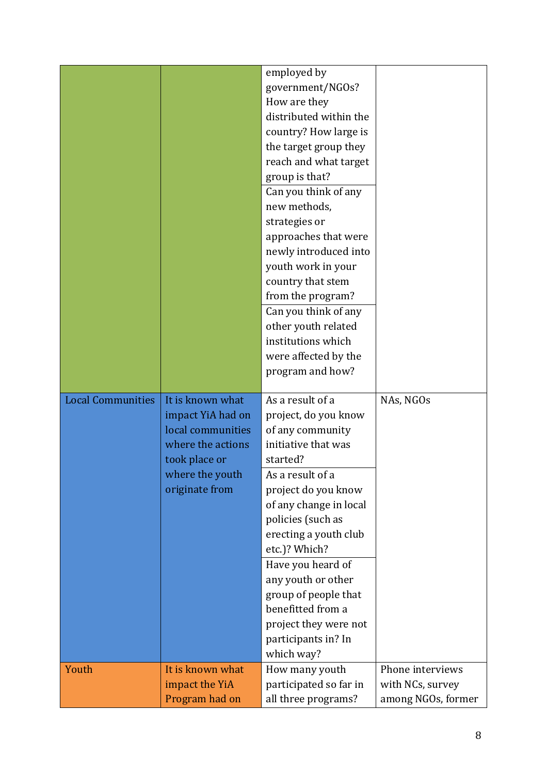|                          |                                                                                                                                       | employed by<br>government/NGOs?<br>How are they<br>distributed within the<br>country? How large is<br>the target group they<br>reach and what target<br>group is that?<br>Can you think of any<br>new methods,<br>strategies or<br>approaches that were<br>newly introduced into<br>youth work in your<br>country that stem                                                               |                                                            |
|--------------------------|---------------------------------------------------------------------------------------------------------------------------------------|-------------------------------------------------------------------------------------------------------------------------------------------------------------------------------------------------------------------------------------------------------------------------------------------------------------------------------------------------------------------------------------------|------------------------------------------------------------|
|                          |                                                                                                                                       | from the program?<br>Can you think of any<br>other youth related<br>institutions which<br>were affected by the<br>program and how?                                                                                                                                                                                                                                                        |                                                            |
| <b>Local Communities</b> | It is known what<br>impact YiA had on<br>local communities<br>where the actions<br>took place or<br>where the youth<br>originate from | As a result of a<br>project, do you know<br>of any community<br>initiative that was<br>started?<br>As a result of a<br>project do you know<br>of any change in local<br>policies (such as<br>erecting a youth club<br>etc.)? Which?<br>Have you heard of<br>any youth or other<br>group of people that<br>benefitted from a<br>project they were not<br>participants in? In<br>which way? | NAs, NGOs                                                  |
| Youth                    | It is known what<br>impact the YiA<br>Program had on                                                                                  | How many youth<br>participated so far in<br>all three programs?                                                                                                                                                                                                                                                                                                                           | Phone interviews<br>with NCs, survey<br>among NGOs, former |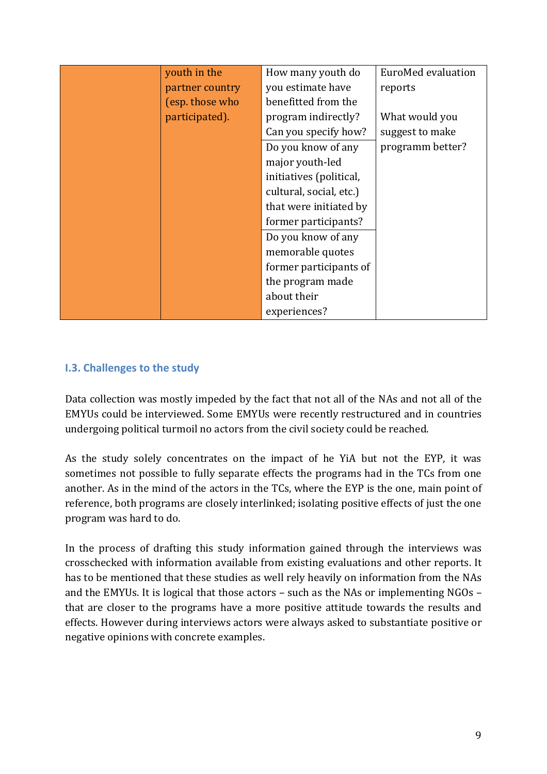| youth in the    | How many youth do       | EuroMed evaluation |
|-----------------|-------------------------|--------------------|
| partner country | you estimate have       | reports            |
| (esp. those who | benefitted from the     |                    |
| participated).  | program indirectly?     | What would you     |
|                 | Can you specify how?    | suggest to make    |
|                 | Do you know of any      | programm better?   |
|                 | major youth-led         |                    |
|                 | initiatives (political, |                    |
|                 | cultural, social, etc.) |                    |
|                 | that were initiated by  |                    |
|                 | former participants?    |                    |
|                 | Do you know of any      |                    |
|                 | memorable quotes        |                    |
|                 | former participants of  |                    |
|                 | the program made        |                    |
|                 | about their             |                    |
|                 | experiences?            |                    |

## **I.3. Challenges to the study**

Data collection was mostly impeded by the fact that not all of the NAs and not all of the EMYUs could be interviewed. Some EMYUs were recently restructured and in countries undergoing political turmoil no actors from the civil society could be reached.

As the study solely concentrates on the impact of he YiA but not the EYP, it was sometimes not possible to fully separate effects the programs had in the TCs from one another. As in the mind of the actors in the TCs, where the EYP is the one, main point of reference, both programs are closely interlinked; isolating positive effects of just the one program was hard to do.

In the process of drafting this study information gained through the interviews was crosschecked with information available from existing evaluations and other reports. It has to be mentioned that these studies as well rely heavily on information from the NAs and the EMYUs. It is logical that those actors – such as the NAs or implementing NGOs – that are closer to the programs have a more positive attitude towards the results and effects. However during interviews actors were always asked to substantiate positive or negative opinions with concrete examples.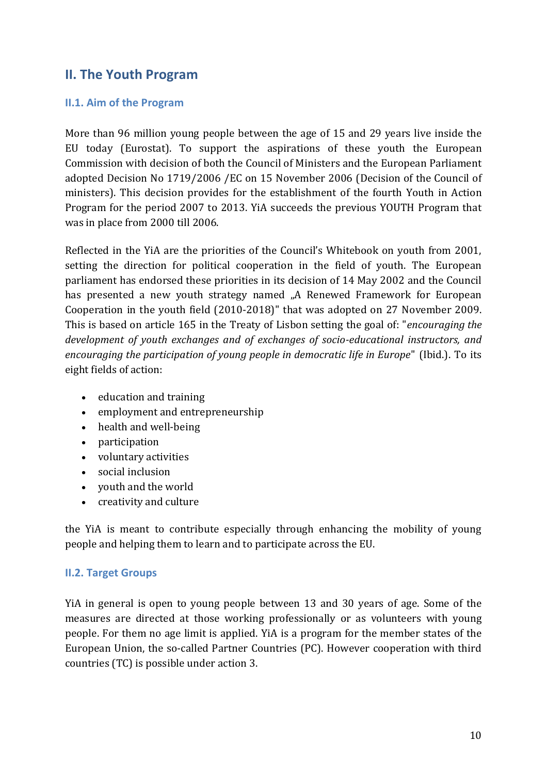# **II. The Youth Program**

### **II.1. Aim of the Program**

More than 96 million young people between the age of 15 and 29 years live inside the EU today (Eurostat). To support the aspirations of these youth the European Commission with decision of both the Council of Ministers and the European Parliament adopted [Decision No 1719/2006](http://eur-lex.europa.eu/LexUriServ/site/en/oj/2006/l_327/l_32720061124en00300044.pdf) /EC on 15 November 2006 (Decision of the Council of ministers). This decision provides for the establishment of the fourth Youth in Action Program for the period 2007 to 2013. YiA succeeds the previous YOUTH Program that was in place from 2000 till 2006.

Reflected in the YiA are the priorities of the Council's Whitebook on youth from 2001, setting the direction for political cooperation in the field of youth. The European parliament has endorsed these priorities in its decision of 14 May 2002 and the Council has presented a new youth strategy named "A Renewed Framework for European Cooperation in the youth field (2010-2018)" that was adopted on 27 November 2009. This is based on article 165 in the Treaty of Lisbon setting the goal of: "*encouraging the development of youth exchanges and of exchanges of socio-educational instructors, and encouraging the participation of young people in democratic life in Europe*" (Ibid.). To its eight fields of action:

- education and training
- employment and entrepreneurship
- health and well-being
- participation
- voluntary activities
- social inclusion
- youth and the world
- creativity and culture

the YiA is meant to contribute especially through enhancing the mobility of young people and helping them to learn and to participate across the EU.

## **II.2. Target Groups**

YiA in general is open to young people between 13 and 30 years of age. Some of the measures are directed at those working professionally or as volunteers with young people. For them no age limit is applied. YiA is a program for the member states of the European Union, the so-called Partner Countries (PC). However cooperation with third countries (TC) is possible under action 3.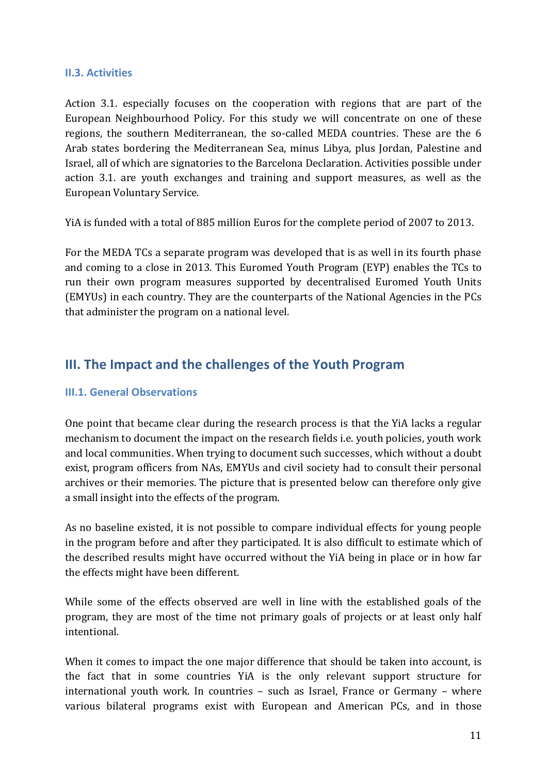### **II.3. Activities**

Action 3.1. especially focuses on the cooperation with regions that are part of the European Neighbourhood Policy. For this study we will concentrate on one of these regions, the southern Mediterranean, the so-called MEDA countries. These are the 6 Arab states bordering the Mediterranean Sea, minus Libya, plus Jordan, Palestine and Israel, all of which are signatories to the Barcelona Declaration. Activities possible under action 3.1. are youth exchanges and training and support measures, as well as the European Voluntary Service.

YiA is funded with a total of 885 million Euros for the complete period of 2007 to 2013.

For the MEDA TCs a separate program was developed that is as well in its fourth phase and coming to a close in 2013. This Euromed Youth Program (EYP) enables the TCs to run their own program measures supported by decentralised Euromed Youth Units (EMYUs) in each country. They are the counterparts of the National Agencies in the PCs that administer the program on a national level.

# **III. The Impact and the challenges of the Youth Program**

## **III.1. General Observations**

One point that became clear during the research process is that the YiA lacks a regular mechanism to document the impact on the research fields i.e. youth policies, youth work and local communities. When trying to document such successes, which without a doubt exist, program officers from NAs, EMYUs and civil society had to consult their personal archives or their memories. The picture that is presented below can therefore only give a small insight into the effects of the program.

As no baseline existed, it is not possible to compare individual effects for young people in the program before and after they participated. It is also difficult to estimate which of the described results might have occurred without the YiA being in place or in how far the effects might have been different.

While some of the effects observed are well in line with the established goals of the program, they are most of the time not primary goals of projects or at least only half intentional.

When it comes to impact the one major difference that should be taken into account, is the fact that in some countries YiA is the only relevant support structure for international youth work. In countries – such as Israel, France or Germany – where various bilateral programs exist with European and American PCs, and in those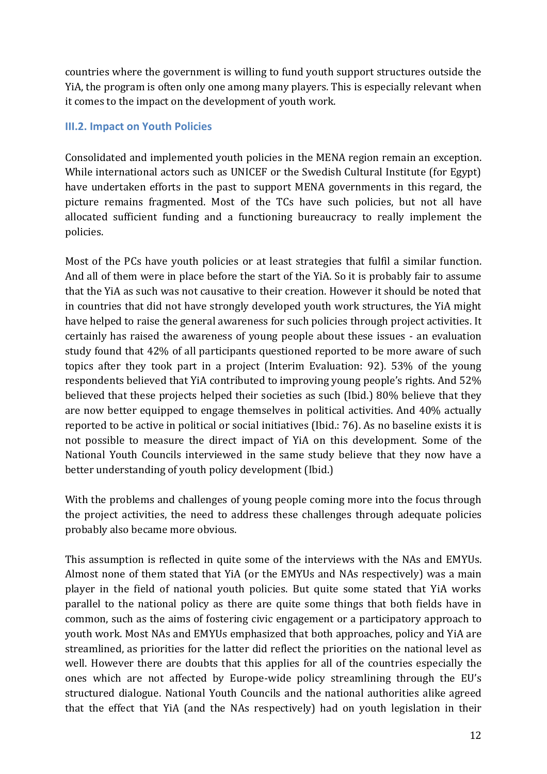countries where the government is willing to fund youth support structures outside the YiA, the program is often only one among many players. This is especially relevant when it comes to the impact on the development of youth work.

## **III.2. Impact on Youth Policies**

Consolidated and implemented youth policies in the MENA region remain an exception. While international actors such as UNICEF or the Swedish Cultural Institute (for Egypt) have undertaken efforts in the past to support MENA governments in this regard, the picture remains fragmented. Most of the TCs have such policies, but not all have allocated sufficient funding and a functioning bureaucracy to really implement the policies.

Most of the PCs have youth policies or at least strategies that fulfil a similar function. And all of them were in place before the start of the YiA. So it is probably fair to assume that the YiA as such was not causative to their creation. However it should be noted that in countries that did not have strongly developed youth work structures, the YiA might have helped to raise the general awareness for such policies through project activities. It certainly has raised the awareness of young people about these issues - an evaluation study found that 42% of all participants questioned reported to be more aware of such topics after they took part in a project (Interim Evaluation: 92). 53% of the young respondents believed that YiA contributed to improving young people's rights. And 52% believed that these projects helped their societies as such (Ibid.) 80% believe that they are now better equipped to engage themselves in political activities. And 40% actually reported to be active in political or social initiatives (Ibid.: 76). As no baseline exists it is not possible to measure the direct impact of YiA on this development. Some of the National Youth Councils interviewed in the same study believe that they now have a better understanding of youth policy development (Ibid.)

With the problems and challenges of young people coming more into the focus through the project activities, the need to address these challenges through adequate policies probably also became more obvious.

This assumption is reflected in quite some of the interviews with the NAs and EMYUs. Almost none of them stated that YiA (or the EMYUs and NAs respectively) was a main player in the field of national youth policies. But quite some stated that YiA works parallel to the national policy as there are quite some things that both fields have in common, such as the aims of fostering civic engagement or a participatory approach to youth work. Most NAs and EMYUs emphasized that both approaches, policy and YiA are streamlined, as priorities for the latter did reflect the priorities on the national level as well. However there are doubts that this applies for all of the countries especially the ones which are not affected by Europe-wide policy streamlining through the EU's structured dialogue. National Youth Councils and the national authorities alike agreed that the effect that YiA (and the NAs respectively) had on youth legislation in their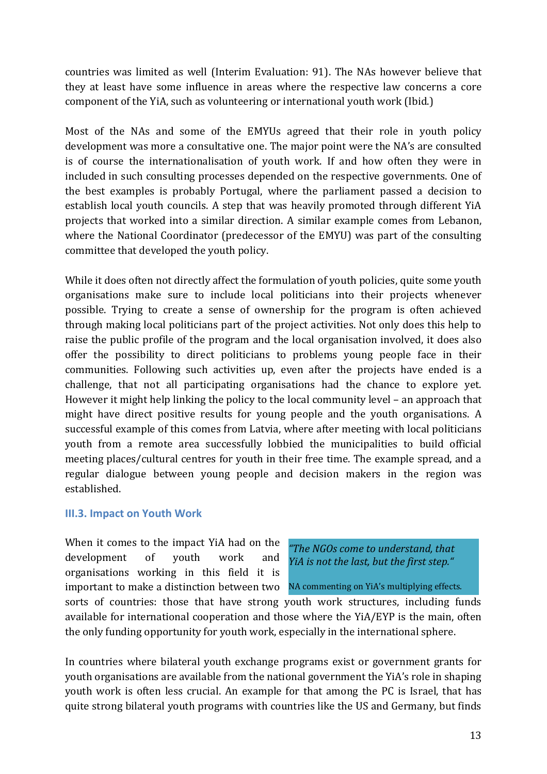countries was limited as well (Interim Evaluation: 91). The NAs however believe that they at least have some influence in areas where the respective law concerns a core component of the YiA, such as volunteering or international youth work (Ibid.)

Most of the NAs and some of the EMYUs agreed that their role in youth policy development was more a consultative one. The major point were the NA's are consulted is of course the internationalisation of youth work. If and how often they were in included in such consulting processes depended on the respective governments. One of the best examples is probably Portugal, where the parliament passed a decision to establish local youth councils. A step that was heavily promoted through different YiA projects that worked into a similar direction. A similar example comes from Lebanon, where the National Coordinator (predecessor of the EMYU) was part of the consulting committee that developed the youth policy.

While it does often not directly affect the formulation of youth policies, quite some youth organisations make sure to include local politicians into their projects whenever possible. Trying to create a sense of ownership for the program is often achieved through making local politicians part of the project activities. Not only does this help to raise the public profile of the program and the local organisation involved, it does also offer the possibility to direct politicians to problems young people face in their communities. Following such activities up, even after the projects have ended is a challenge, that not all participating organisations had the chance to explore yet. However it might help linking the policy to the local community level – an approach that might have direct positive results for young people and the youth organisations. A successful example of this comes from Latvia, where after meeting with local politicians youth from a remote area successfully lobbied the municipalities to build official meeting places/cultural centres for youth in their free time. The example spread, and a regular dialogue between young people and decision makers in the region was established.

#### **III.3. Impact on Youth Work**

When it comes to the impact YiA had on the development of youth work and organisations working in this field it is important to make a distinction between two NA commenting on YiA's multiplying effects.

*"The NGOs come to understand, that YiA is not the last, but the first step."*

sorts of countries: those that have strong youth work structures, including funds available for international cooperation and those where the YiA/EYP is the main, often the only funding opportunity for youth work, especially in the international sphere.

In countries where bilateral youth exchange programs exist or government grants for youth organisations are available from the national government the YiA's role in shaping youth work is often less crucial. An example for that among the PC is Israel, that has quite strong bilateral youth programs with countries like the US and Germany, but finds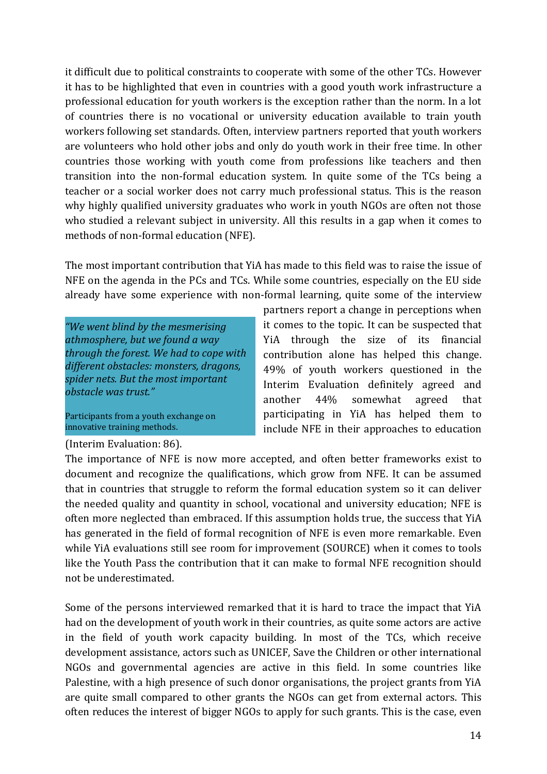it difficult due to political constraints to cooperate with some of the other TCs. However it has to be highlighted that even in countries with a good youth work infrastructure a professional education for youth workers is the exception rather than the norm. In a lot of countries there is no vocational or university education available to train youth workers following set standards. Often, interview partners reported that youth workers are volunteers who hold other jobs and only do youth work in their free time. In other countries those working with youth come from professions like teachers and then transition into the non-formal education system. In quite some of the TCs being a teacher or a social worker does not carry much professional status. This is the reason why highly qualified university graduates who work in youth NGOs are often not those who studied a relevant subject in university. All this results in a gap when it comes to methods of non-formal education (NFE).

The most important contribution that YiA has made to this field was to raise the issue of NFE on the agenda in the PCs and TCs. While some countries, especially on the EU side already have some experience with non-formal learning, quite some of the interview

*"We went blind by the mesmerising athmosphere, but we found a way through the forest. We had to cope with different obstacles: monsters, dragons, spider nets. But the most important obstacle was trust."*

Participants from a youth exchange on innovative training methods.

#### (Interim Evaluation: 86).

partners report a change in perceptions when it comes to the topic. It can be suspected that YiA through the size of its financial contribution alone has helped this change. 49% of youth workers questioned in the Interim Evaluation definitely agreed and another 44% somewhat agreed that participating in YiA has helped them to include NFE in their approaches to education

The importance of NFE is now more accepted, and often better frameworks exist to document and recognize the qualifications, which grow from NFE. It can be assumed that in countries that struggle to reform the formal education system so it can deliver the needed quality and quantity in school, vocational and university education; NFE is often more neglected than embraced. If this assumption holds true, the success that YiA has generated in the field of formal recognition of NFE is even more remarkable. Even while YiA evaluations still see room for improvement (SOURCE) when it comes to tools like the Youth Pass the contribution that it can make to formal NFE recognition should not be underestimated.

Some of the persons interviewed remarked that it is hard to trace the impact that YiA had on the development of youth work in their countries, as quite some actors are active in the field of youth work capacity building. In most of the TCs, which receive development assistance, actors such as UNICEF, Save the Children or other international NGOs and governmental agencies are active in this field. In some countries like Palestine, with a high presence of such donor organisations, the project grants from YiA are quite small compared to other grants the NGOs can get from external actors. This often reduces the interest of bigger NGOs to apply for such grants. This is the case, even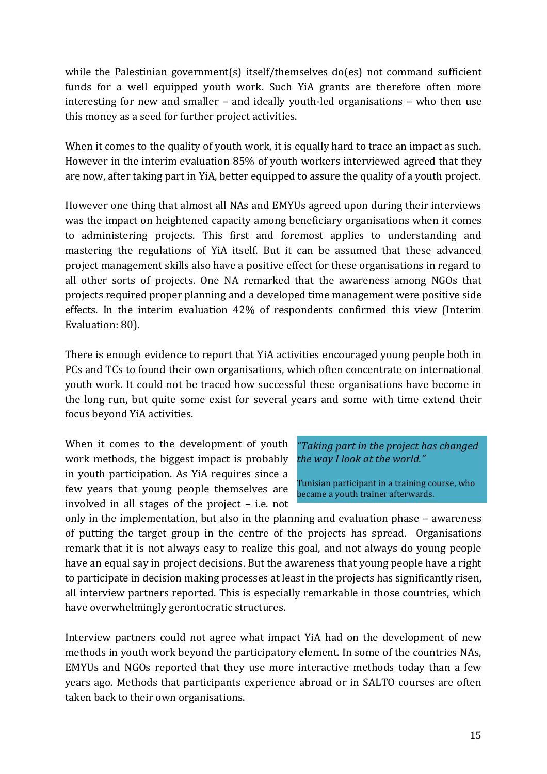while the Palestinian government(s) itself/themselves do(es) not command sufficient funds for a well equipped youth work. Such YiA grants are therefore often more interesting for new and smaller – and ideally youth-led organisations – who then use this money as a seed for further project activities.

When it comes to the quality of youth work, it is equally hard to trace an impact as such. However in the interim evaluation 85% of youth workers interviewed agreed that they are now, after taking part in YiA, better equipped to assure the quality of a youth project.

However one thing that almost all NAs and EMYUs agreed upon during their interviews was the impact on heightened capacity among beneficiary organisations when it comes to administering projects. This first and foremost applies to understanding and mastering the regulations of YiA itself. But it can be assumed that these advanced project management skills also have a positive effect for these organisations in regard to all other sorts of projects. One NA remarked that the awareness among NGOs that projects required proper planning and a developed time management were positive side effects. In the interim evaluation 42% of respondents confirmed this view (Interim Evaluation: 80).

There is enough evidence to report that YiA activities encouraged young people both in PCs and TCs to found their own organisations, which often concentrate on international youth work. It could not be traced how successful these organisations have become in the long run, but quite some exist for several years and some with time extend their focus beyond YiA activities.

When it comes to the development of youth work methods, the biggest impact is probably in youth participation. As YiA requires since a few years that young people themselves are involved in all stages of the project – i.e. not

*"Taking part in the project has changed the way I look at the world."*

Tunisian participant in a training course, who became a youth trainer afterwards.

only in the implementation, but also in the planning and evaluation phase – awareness of putting the target group in the centre of the projects has spread. Organisations remark that it is not always easy to realize this goal, and not always do young people have an equal say in project decisions. But the awareness that young people have a right to participate in decision making processes at least in the projects has significantly risen, all interview partners reported. This is especially remarkable in those countries, which have overwhelmingly gerontocratic structures.

Interview partners could not agree what impact YiA had on the development of new methods in youth work beyond the participatory element. In some of the countries NAs, EMYUs and NGOs reported that they use more interactive methods today than a few years ago. Methods that participants experience abroad or in SALTO courses are often taken back to their own organisations.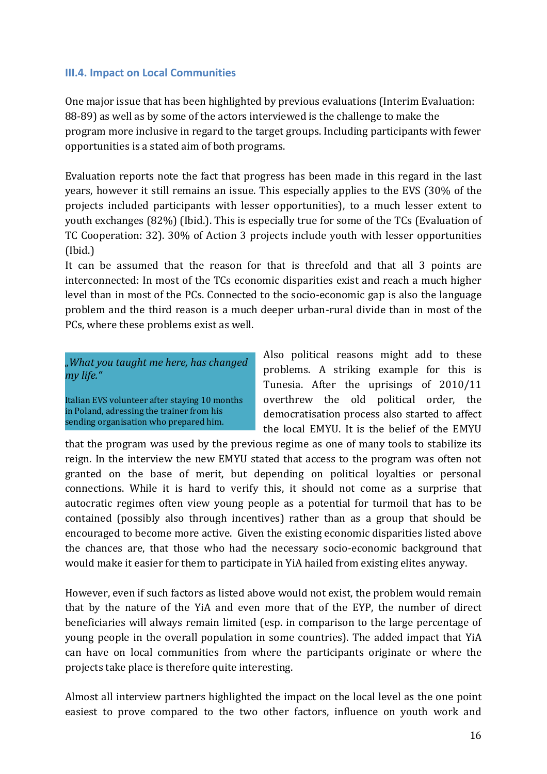### **III.4. Impact on Local Communities**

One major issue that has been highlighted by previous evaluations (Interim Evaluation: 88-89) as well as by some of the actors interviewed is the challenge to make the program more inclusive in regard to the target groups. Including participants with fewer opportunities is a stated aim of both programs.

Evaluation reports note the fact that progress has been made in this regard in the last years, however it still remains an issue. This especially applies to the EVS (30% of the projects included participants with lesser opportunities), to a much lesser extent to youth exchanges (82%) (Ibid.). This is especially true for some of the TCs (Evaluation of TC Cooperation: 32). 30% of Action 3 projects include youth with lesser opportunities (Ibid.)

It can be assumed that the reason for that is threefold and that all 3 points are interconnected: In most of the TCs economic disparities exist and reach a much higher level than in most of the PCs. Connected to the socio-economic gap is also the language problem and the third reason is a much deeper urban-rural divide than in most of the PCs, where these problems exist as well.

*"What you taught me here, has changed my life."*

Italian EVS volunteer after staying 10 months in Poland, adressing the trainer from his sending organisation who prepared him.

Also political reasons might add to these problems. A striking example for this is Tunesia. After the uprisings of 2010/11 overthrew the old political order, the democratisation process also started to affect the local EMYU. It is the belief of the EMYU

that the program was used by the previous regime as one of many tools to stabilize its reign. In the interview the new EMYU stated that access to the program was often not granted on the base of merit, but depending on political loyalties or personal connections. While it is hard to verify this, it should not come as a surprise that autocratic regimes often view young people as a potential for turmoil that has to be contained (possibly also through incentives) rather than as a group that should be encouraged to become more active. Given the existing economic disparities listed above the chances are, that those who had the necessary socio-economic background that would make it easier for them to participate in YiA hailed from existing elites anyway.

However, even if such factors as listed above would not exist, the problem would remain that by the nature of the YiA and even more that of the EYP, the number of direct beneficiaries will always remain limited (esp. in comparison to the large percentage of young people in the overall population in some countries). The added impact that YiA can have on local communities from where the participants originate or where the projects take place is therefore quite interesting.

Almost all interview partners highlighted the impact on the local level as the one point easiest to prove compared to the two other factors, influence on youth work and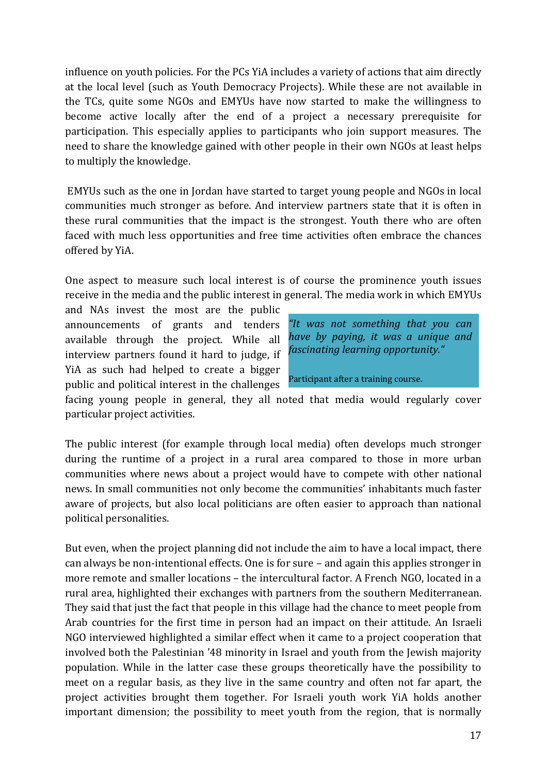influence on youth policies. For the PCs YiA includes a variety of actions that aim directly at the local level (such as Youth Democracy Projects). While these are not available in the TCs, quite some NGOs and EMYUs have now started to make the willingness to become active locally after the end of a project a necessary prerequisite for participation. This especially applies to participants who join support measures. The need to share the knowledge gained with other people in their own NGOs at least helps to multiply the knowledge.

EMYUs such as the one in Jordan have started to target young people and NGOs in local communities much stronger as before. And interview partners state that it is often in these rural communities that the impact is the strongest. Youth there who are often faced with much less opportunities and free time activities often embrace the chances offered by YiA.

One aspect to measure such local interest is of course the prominence youth issues receive in the media and the public interest in general. The media work in which EMYUs

and NAs invest the most are the public announcements of grants and tenders available through the project. While all interview partners found it hard to judge, if YiA as such had helped to create a bigger public and political interest in the challenges

| "It was not something that you can<br>have by paying, it was a unique and<br>fascinating learning opportunity." |
|-----------------------------------------------------------------------------------------------------------------|
| Participant after a training course.                                                                            |

facing young people in general, they all noted that media would regularly cover particular project activities.

The public interest (for example through local media) often develops much stronger during the runtime of a project in a rural area compared to those in more urban communities where news about a project would have to compete with other national news. In small communities not only become the communities' inhabitants much faster aware of projects, but also local politicians are often easier to approach than national political personalities.

But even, when the project planning did not include the aim to have a local impact, there can always be non-intentional effects. One is for sure – and again this applies stronger in more remote and smaller locations – the intercultural factor. A French NGO, located in a rural area, highlighted their exchanges with partners from the southern Mediterranean. They said that just the fact that people in this village had the chance to meet people from Arab countries for the first time in person had an impact on their attitude. An Israeli NGO interviewed highlighted a similar effect when it came to a project cooperation that involved both the Palestinian '48 minority in Israel and youth from the Jewish majority population. While in the latter case these groups theoretically have the possibility to meet on a regular basis, as they live in the same country and often not far apart, the project activities brought them together. For Israeli youth work YiA holds another important dimension; the possibility to meet youth from the region, that is normally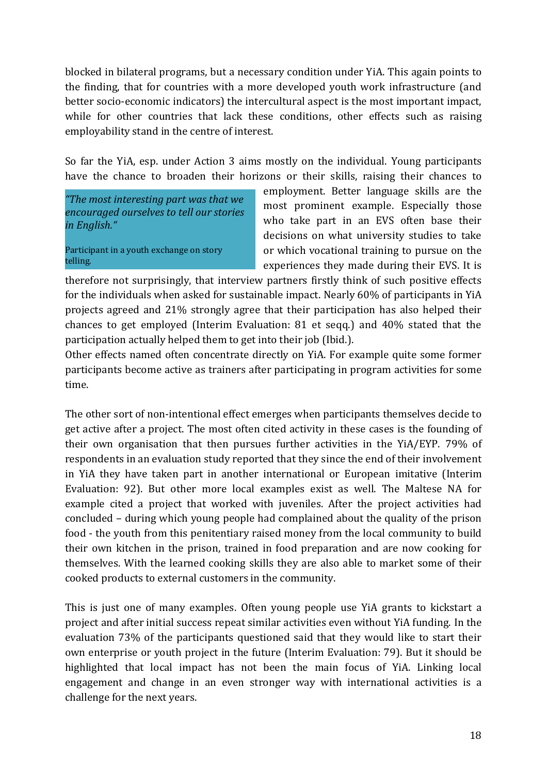blocked in bilateral programs, but a necessary condition under YiA. This again points to the finding, that for countries with a more developed youth work infrastructure (and better socio-economic indicators) the intercultural aspect is the most important impact, while for other countries that lack these conditions, other effects such as raising employability stand in the centre of interest.

So far the YiA, esp. under Action 3 aims mostly on the individual. Young participants have the chance to broaden their horizons or their skills, raising their chances to

*"The most interesting part was that we encouraged ourselves to tell our stories in English."*

Participant in a youth exchange on story telling.

employment. Better language skills are the most prominent example. Especially those who take part in an EVS often base their decisions on what university studies to take or which vocational training to pursue on the experiences they made during their EVS. It is

therefore not surprisingly, that interview partners firstly think of such positive effects for the individuals when asked for sustainable impact. Nearly 60% of participants in YiA projects agreed and 21% strongly agree that their participation has also helped their chances to get employed (Interim Evaluation: 81 et seqq.) and 40% stated that the participation actually helped them to get into their job (Ibid.).

Other effects named often concentrate directly on YiA. For example quite some former participants become active as trainers after participating in program activities for some time.

The other sort of non-intentional effect emerges when participants themselves decide to get active after a project. The most often cited activity in these cases is the founding of their own organisation that then pursues further activities in the YiA/EYP. 79% of respondents in an evaluation study reported that they since the end of their involvement in YiA they have taken part in another international or European imitative (Interim Evaluation: 92). But other more local examples exist as well. The Maltese NA for example cited a project that worked with juveniles. After the project activities had concluded – during which young people had complained about the quality of the prison food - the youth from this penitentiary raised money from the local community to build their own kitchen in the prison, trained in food preparation and are now cooking for themselves. With the learned cooking skills they are also able to market some of their cooked products to external customers in the community.

This is just one of many examples. Often young people use YiA grants to kickstart a project and after initial success repeat similar activities even without YiA funding. In the evaluation 73% of the participants questioned said that they would like to start their own enterprise or youth project in the future (Interim Evaluation: 79). But it should be highlighted that local impact has not been the main focus of YiA. Linking local engagement and change in an even stronger way with international activities is a challenge for the next years.